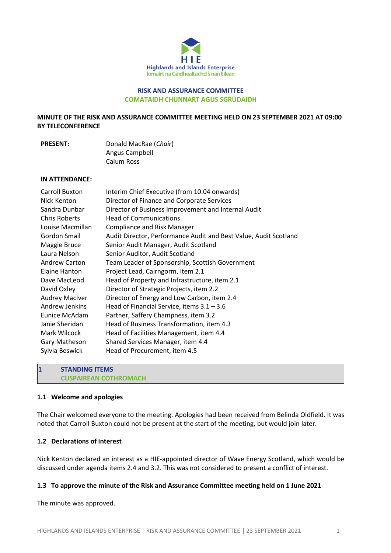

# **RISK AND ASSURANCE COMMITTEE COMATAIDH CHUNNART AGUS SGRÙDAIDH**

**MINUTE OF THE RISK AND ASSURANCE COMMITTEE MEETING HELD ON 23 SEPTEMBER 2021 AT 09:00 BY TELECONFERENCE**

**PRESENT:** Donald MacRae (*Chair*) Angus Campbell Calum Ross

#### **IN ATTENDANCE:**

| <b>Carroll Buxton</b> | Interim Chief Executive (from 10:04 onwards)                     |
|-----------------------|------------------------------------------------------------------|
| Nick Kenton           | Director of Finance and Corporate Services                       |
| Sandra Dunbar         | Director of Business Improvement and Internal Audit              |
| <b>Chris Roberts</b>  | <b>Head of Communications</b>                                    |
| Louise Macmillan      | <b>Compliance and Risk Manager</b>                               |
| Gordon Smail          | Audit Director, Performance Audit and Best Value, Audit Scotland |
| Maggie Bruce          | Senior Audit Manager, Audit Scotland                             |
| Laura Nelson          | Senior Auditor, Audit Scotland                                   |
| <b>Andrew Carton</b>  | Team Leader of Sponsorship, Scottish Government                  |
| Elaine Hanton         | Project Lead, Cairngorm, item 2.1                                |
| Dave MacLeod          | Head of Property and Infrastructure, item 2.1                    |
| David Oxley           | Director of Strategic Projects, item 2.2                         |
| <b>Audrey MacIver</b> | Director of Energy and Low Carbon, item 2.4                      |
| Andrew Jenkins        | Head of Financial Service, items $3.1 - 3.6$                     |
| Eunice McAdam         | Partner, Saffery Champness, item 3.2                             |
| Janie Sheridan        | Head of Business Transformation, item 4.3                        |
| Mark Wilcock          | Head of Facilities Management, item 4.4                          |
| Gary Matheson         | Shared Services Manager, item 4.4                                |
| Sylvia Beswick        | Head of Procurement, item 4.5                                    |
|                       |                                                                  |

**1 STANDING ITEMS CUSPAIREAN COTHROMACH**

#### **1.1 Welcome and apologies**

The Chair welcomed everyone to the meeting. Apologies had been received from Belinda Oldfield. It was noted that Carroll Buxton could not be present at the start of the meeting, but would join later.

## **1.2 Declarations of interest**

Nick Kenton declared an interest as a HIE-appointed director of Wave Energy Scotland, which would be discussed under agenda items 2.4 and 3.2. This was not considered to present a conflict of interest.

### **1.3 To approve the minute of the Risk and Assurance Committee meeting held on 1 June 2021**

The minute was approved.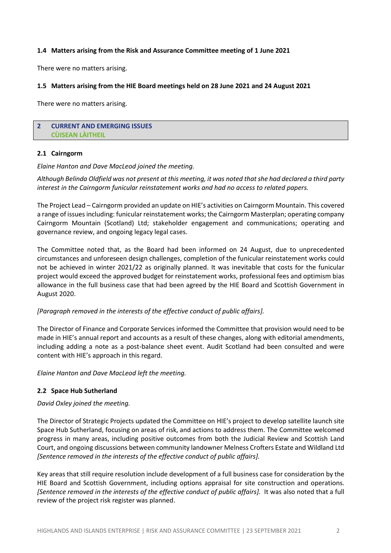### **1.4 Matters arising from the Risk and Assurance Committee meeting of 1 June 2021**

There were no matters arising.

### **1.5 Matters arising from the HIE Board meetings held on 28 June 2021 and 24 August 2021**

There were no matters arising.

## **2 CURRENT AND EMERGING ISSUES CÙISEAN LÀITHEIL**

#### **2.1 Cairngorm**

*Elaine Hanton and Dave MacLeod joined the meeting.* 

*Although Belinda Oldfield was not present at this meeting, it was noted that she had declared a third party interest in the Cairngorm funicular reinstatement works and had no access to related papers.*

The Project Lead – Cairngorm provided an update on HIE's activities on Cairngorm Mountain. This covered a range of issues including: funicular reinstatement works; the Cairngorm Masterplan; operating company Cairngorm Mountain (Scotland) Ltd; stakeholder engagement and communications; operating and governance review, and ongoing legacy legal cases.

The Committee noted that, as the Board had been informed on 24 August, due to unprecedented circumstances and unforeseen design challenges, completion of the funicular reinstatement works could not be achieved in winter 2021/22 as originally planned. It was inevitable that costs for the funicular project would exceed the approved budget for reinstatement works, professional fees and optimism bias allowance in the full business case that had been agreed by the HIE Board and Scottish Government in August 2020.

## *[Paragraph removed in the interests of the effective conduct of public affairs].*

The Director of Finance and Corporate Services informed the Committee that provision would need to be made in HIE's annual report and accounts as a result of these changes, along with editorial amendments, including adding a note as a post-balance sheet event. Audit Scotland had been consulted and were content with HIE's approach in this regard.

*Elaine Hanton and Dave MacLeod left the meeting.* 

## **2.2 Space Hub Sutherland**

#### *David Oxley joined the meeting.*

The Director of Strategic Projects updated the Committee on HIE's project to develop satellite launch site Space Hub Sutherland, focusing on areas of risk, and actions to address them. The Committee welcomed progress in many areas, including positive outcomes from both the Judicial Review and Scottish Land Court, and ongoing discussions between community landowner Melness Crofters Estate and Wildland Ltd *[Sentence removed in the interests of the effective conduct of public affairs].*

Key areas that still require resolution include development of a full business case for consideration by the HIE Board and Scottish Government, including options appraisal for site construction and operations. *[Sentence removed in the interests of the effective conduct of public affairs].* It was also noted that a full review of the project risk register was planned.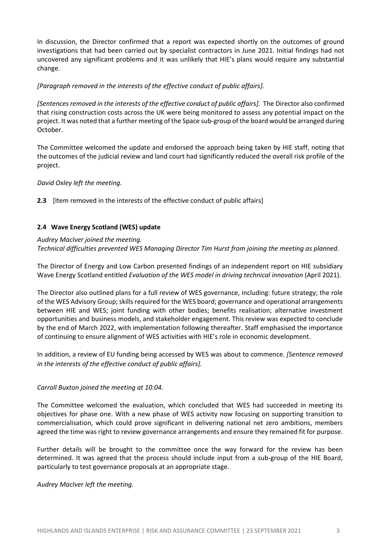In discussion, the Director confirmed that a report was expected shortly on the outcomes of ground investigations that had been carried out by specialist contractors in June 2021. Initial findings had not uncovered any significant problems and it was unlikely that HIE's plans would require any substantial change.

# *[Paragraph removed in the interests of the effective conduct of public affairs].*

*[Sentencesremoved in the interests of the effective conduct of public affairs].* The Director also confirmed that rising construction costs across the UK were being monitored to assess any potential impact on the project. It was noted that a further meeting of the Space sub-group of the board would be arranged during October.

The Committee welcomed the update and endorsed the approach being taken by HIE staff, noting that the outcomes of the judicial review and land court had significantly reduced the overall risk profile of the project.

*David Oxley left the meeting.*

**2.3** [Item removed in the interests of the effective conduct of public affairs]

# **2.4 Wave Energy Scotland (WES) update**

## *Audrey MacIver joined the meeting.*

*Technical difficulties prevented WES Managing Director Tim Hurst from joining the meeting as planned.*

The Director of Energy and Low Carbon presented findings of an independent report on HIE subsidiary Wave Energy Scotland entitled *Evaluation of the WES model in driving technical innovation* (April 2021).

The Director also outlined plans for a full review of WES governance, including: future strategy; the role of the WES Advisory Group; skills required for the WES board; governance and operational arrangements between HIE and WES; joint funding with other bodies; benefits realisation; alternative investment opportunities and business models, and stakeholder engagement. This review was expected to conclude by the end of March 2022, with implementation following thereafter. Staff emphasised the importance of continuing to ensure alignment of WES activities with HIE's role in economic development.

In addition, a review of EU funding being accessed by WES was about to commence. *[Sentence removed in the interests of the effective conduct of public affairs].*

## *Carroll Buxton joined the meeting at 10:04.*

The Committee welcomed the evaluation, which concluded that WES had succeeded in meeting its objectives for phase one. With a new phase of WES activity now focusing on supporting transition to commercialisation, which could prove significant in delivering national net zero ambitions, members agreed the time was right to review governance arrangements and ensure they remained fit for purpose.

Further details will be brought to the committee once the way forward for the review has been determined. It was agreed that the process should include input from a sub-group of the HIE Board, particularly to test governance proposals at an appropriate stage.

*Audrey MacIver left the meeting.*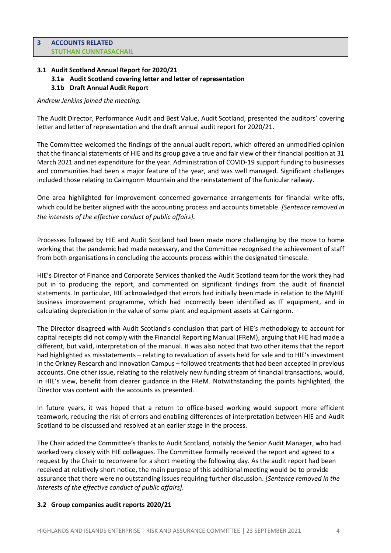# **3.1 Audit Scotland Annual Report for 2020/21**

- **3.1a Audit Scotland covering letter and letter of representation**
- **3.1b Draft Annual Audit Report**

## *Andrew Jenkins joined the meeting.*

The Audit Director, Performance Audit and Best Value, Audit Scotland, presented the auditors' covering letter and letter of representation and the draft annual audit report for 2020/21.

The Committee welcomed the findings of the annual audit report, which offered an unmodified opinion that the financial statements of HIE and its group gave a true and fair view of their financial position at 31 March 2021 and net expenditure for the year. Administration of COVID-19 support funding to businesses and communities had been a major feature of the year, and was well managed. Significant challenges included those relating to Cairngorm Mountain and the reinstatement of the funicular railway.

One area highlighted for improvement concerned governance arrangements for financial write-offs, which could be better aligned with the accounting process and accounts timetable. *[Sentence removed in the interests of the effective conduct of public affairs].*

Processes followed by HIE and Audit Scotland had been made more challenging by the move to home working that the pandemic had made necessary, and the Committee recognised the achievement of staff from both organisations in concluding the accounts process within the designated timescale.

HIE's Director of Finance and Corporate Services thanked the Audit Scotland team for the work they had put in to producing the report, and commented on significant findings from the audit of financial statements. In particular, HIE acknowledged that errors had initially been made in relation to the MyHIE business improvement programme, which had incorrectly been identified as IT equipment, and in calculating depreciation in the value of some plant and equipment assets at Cairngorm.

The Director disagreed with Audit Scotland's conclusion that part of HIE's methodology to account for capital receipts did not comply with the Financial Reporting Manual (FReM), arguing that HIE had made a different, but valid, interpretation of the manual. It was also noted that two other items that the report had highlighted as misstatements – relating to revaluation of assets held for sale and to HIE's investment in the Orkney Research and Innovation Campus – followed treatments that had been accepted in previous accounts. One other issue, relating to the relatively new funding stream of financial transactions, would, in HIE's view, benefit from clearer guidance in the FReM. Notwithstanding the points highlighted, the Director was content with the accounts as presented.

In future years, it was hoped that a return to office-based working would support more efficient teamwork, reducing the risk of errors and enabling differences of interpretation between HIE and Audit Scotland to be discussed and resolved at an earlier stage in the process.

The Chair added the Committee's thanks to Audit Scotland, notably the Senior Audit Manager, who had worked very closely with HIE colleagues. The Committee formally received the report and agreed to a request by the Chair to reconvene for a short meeting the following day. As the audit report had been received at relatively short notice, the main purpose of this additional meeting would be to provide assurance that there were no outstanding issues requiring further discussion. *[Sentence removed in the interests of the effective conduct of public affairs].*

## **3.2 Group companies audit reports 2020/21**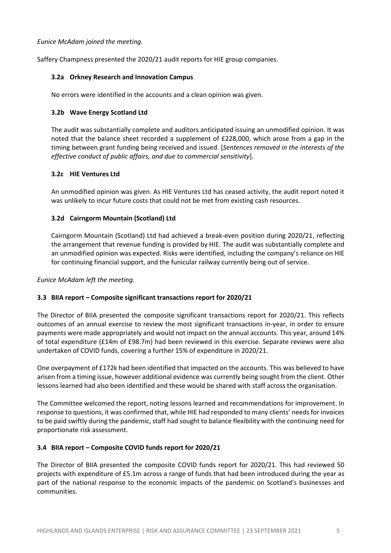## *Eunice McAdam joined the meeting.*

Saffery Champness presented the 2020/21 audit reports for HIE group companies.

# **3.2a Orkney Research and Innovation Campus**

No errors were identified in the accounts and a clean opinion was given.

# **3.2b Wave Energy Scotland Ltd**

The audit was substantially complete and auditors anticipated issuing an unmodified opinion. It was noted that the balance sheet recorded a supplement of £228,000, which arose from a gap in the timing between grant funding being received and issued. [*Sentences removed in the interests of the effective conduct of public affairs, and due to commercial sensitivity*].

# **3.2c HIE Ventures Ltd**

An unmodified opinion was given. As HIE Ventures Ltd has ceased activity, the audit report noted it was unlikely to incur future costs that could not be met from existing cash resources.

# **3.2d Cairngorm Mountain (Scotland) Ltd**

Cairngorm Mountain (Scotland) Ltd had achieved a break-even position during 2020/21, reflecting the arrangement that revenue funding is provided by HIE. The audit was substantially complete and an unmodified opinion was expected. Risks were identified, including the company's reliance on HIE for continuing financial support, and the funicular railway currently being out of service.

*Eunice McAdam left the meeting.*

# **3.3 BIIA report – Composite significant transactions report for 2020/21**

The Director of BIIA presented the composite significant transactions report for 2020/21. This reflects outcomes of an annual exercise to review the most significant transactions in-year, in order to ensure payments were made appropriately and would not impact on the annual accounts. This year, around 14% of total expenditure (£14m of £98.7m) had been reviewed in this exercise. Separate reviews were also undertaken of COVID funds, covering a further 15% of expenditure in 2020/21.

One overpayment of £172k had been identified that impacted on the accounts. This was believed to have arisen from a timing issue, however additional evidence was currently being sought from the client. Other lessons learned had also been identified and these would be shared with staff across the organisation.

The Committee welcomed the report, noting lessons learned and recommendations for improvement. In response to questions, it was confirmed that, while HIE had responded to many clients' needs for invoices to be paid swiftly during the pandemic, staff had sought to balance flexibility with the continuing need for proportionate risk assessment.

# **3.4 BIIA report – Composite COVID funds report for 2020/21**

The Director of BIIA presented the composite COVID funds report for 2020/21. This had reviewed 50 projects with expenditure of £5.1m across a range of funds that had been introduced during the year as part of the national response to the economic impacts of the pandemic on Scotland's businesses and communities.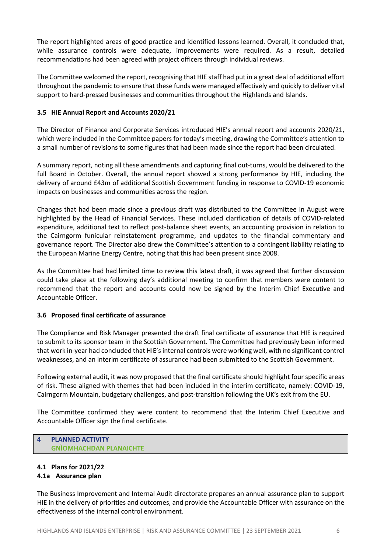The report highlighted areas of good practice and identified lessons learned. Overall, it concluded that, while assurance controls were adequate, improvements were required. As a result, detailed recommendations had been agreed with project officers through individual reviews.

The Committee welcomed the report, recognising that HIE staff had put in a great deal of additional effort throughout the pandemic to ensure that these funds were managed effectively and quickly to deliver vital support to hard-pressed businesses and communities throughout the Highlands and Islands.

## **3.5 HIE Annual Report and Accounts 2020/21**

The Director of Finance and Corporate Services introduced HIE's annual report and accounts 2020/21, which were included in the Committee papers for today's meeting, drawing the Committee's attention to a small number of revisions to some figures that had been made since the report had been circulated.

A summary report, noting all these amendments and capturing final out-turns, would be delivered to the full Board in October. Overall, the annual report showed a strong performance by HIE, including the delivery of around £43m of additional Scottish Government funding in response to COVID-19 economic impacts on businesses and communities across the region.

Changes that had been made since a previous draft was distributed to the Committee in August were highlighted by the Head of Financial Services. These included clarification of details of COVID-related expenditure, additional text to reflect post-balance sheet events, an accounting provision in relation to the Cairngorm funicular reinstatement programme, and updates to the financial commentary and governance report. The Director also drew the Committee's attention to a contingent liability relating to the European Marine Energy Centre, noting that this had been present since 2008.

As the Committee had had limited time to review this latest draft, it was agreed that further discussion could take place at the following day's additional meeting to confirm that members were content to recommend that the report and accounts could now be signed by the Interim Chief Executive and Accountable Officer.

# **3.6 Proposed final certificate of assurance**

The Compliance and Risk Manager presented the draft final certificate of assurance that HIE is required to submit to its sponsor team in the Scottish Government. The Committee had previously been informed that work in-year had concluded that HIE's internal controls were working well, with no significant control weaknesses, and an interim certificate of assurance had been submitted to the Scottish Government.

Following external audit, it was now proposed that the final certificate should highlight four specific areas of risk. These aligned with themes that had been included in the interim certificate, namely: COVID-19, Cairngorm Mountain, budgetary challenges, and post-transition following the UK's exit from the EU.

The Committee confirmed they were content to recommend that the Interim Chief Executive and Accountable Officer sign the final certificate.

# **4 PLANNED ACTIVITY GNÌOMHACHDAN PLANAICHTE**

# **4.1 Plans for 2021/22**

# **4.1a Assurance plan**

The Business Improvement and Internal Audit directorate prepares an annual assurance plan to support HIE in the delivery of priorities and outcomes, and provide the Accountable Officer with assurance on the effectiveness of the internal control environment.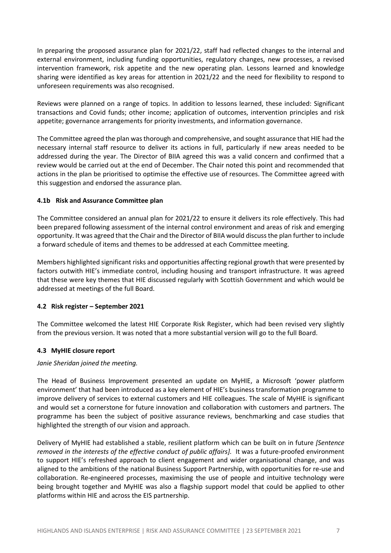In preparing the proposed assurance plan for 2021/22, staff had reflected changes to the internal and external environment, including funding opportunities, regulatory changes, new processes, a revised intervention framework, risk appetite and the new operating plan. Lessons learned and knowledge sharing were identified as key areas for attention in 2021/22 and the need for flexibility to respond to unforeseen requirements was also recognised.

Reviews were planned on a range of topics. In addition to lessons learned, these included: Significant transactions and Covid funds; other income; application of outcomes, intervention principles and risk appetite; governance arrangements for priority investments, and information governance.

The Committee agreed the plan was thorough and comprehensive, and sought assurance that HIE had the necessary internal staff resource to deliver its actions in full, particularly if new areas needed to be addressed during the year. The Director of BIIA agreed this was a valid concern and confirmed that a review would be carried out at the end of December. The Chair noted this point and recommended that actions in the plan be prioritised to optimise the effective use of resources. The Committee agreed with this suggestion and endorsed the assurance plan.

# **4.1b Risk and Assurance Committee plan**

The Committee considered an annual plan for 2021/22 to ensure it delivers its role effectively. This had been prepared following assessment of the internal control environment and areas of risk and emerging opportunity. It was agreed that the Chair and the Director of BIIA would discuss the plan further to include a forward schedule of items and themes to be addressed at each Committee meeting.

Members highlighted significant risks and opportunities affecting regional growth that were presented by factors outwith HIE's immediate control, including housing and transport infrastructure. It was agreed that these were key themes that HIE discussed regularly with Scottish Government and which would be addressed at meetings of the full Board.

## **4.2 Risk register – September 2021**

The Committee welcomed the latest HIE Corporate Risk Register, which had been revised very slightly from the previous version. It was noted that a more substantial version will go to the full Board.

## **4.3 MyHIE closure report**

## *Janie Sheridan joined the meeting.*

The Head of Business Improvement presented an update on MyHIE, a Microsoft 'power platform environment' that had been introduced as a key element of HIE's business transformation programme to improve delivery of services to external customers and HIE colleagues. The scale of MyHIE is significant and would set a cornerstone for future innovation and collaboration with customers and partners. The programme has been the subject of positive assurance reviews, benchmarking and case studies that highlighted the strength of our vision and approach.

Delivery of MyHIE had established a stable, resilient platform which can be built on in future *[Sentence removed in the interests of the effective conduct of public affairs].* It was a future-proofed environment to support HIE's refreshed approach to client engagement and wider organisational change, and was aligned to the ambitions of the national Business Support Partnership, with opportunities for re‐use and collaboration. Re-engineered processes, maximising the use of people and intuitive technology were being brought together and MyHIE was also a flagship support model that could be applied to other platforms within HIE and across the EIS partnership.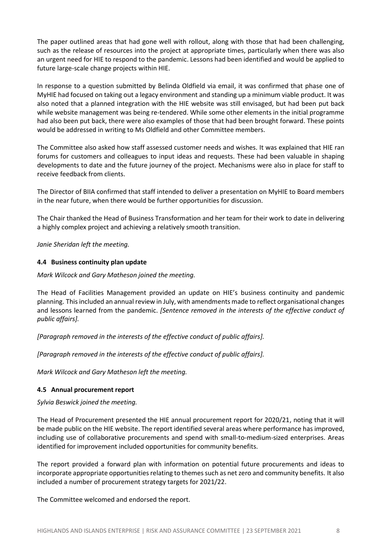The paper outlined areas that had gone well with rollout, along with those that had been challenging, such as the release of resources into the project at appropriate times, particularly when there was also an urgent need for HIE to respond to the pandemic. Lessons had been identified and would be applied to future large‐scale change projects within HIE.

In response to a question submitted by Belinda Oldfield via email, it was confirmed that phase one of MyHIE had focused on taking out a legacy environment and standing up a minimum viable product. It was also noted that a planned integration with the HIE website was still envisaged, but had been put back while website management was being re-tendered. While some other elements in the initial programme had also been put back, there were also examples of those that had been brought forward. These points would be addressed in writing to Ms Oldfield and other Committee members.

The Committee also asked how staff assessed customer needs and wishes. It was explained that HIE ran forums for customers and colleagues to input ideas and requests. These had been valuable in shaping developments to date and the future journey of the project. Mechanisms were also in place for staff to receive feedback from clients.

The Director of BIIA confirmed that staff intended to deliver a presentation on MyHIE to Board members in the near future, when there would be further opportunities for discussion.

The Chair thanked the Head of Business Transformation and her team for their work to date in delivering a highly complex project and achieving a relatively smooth transition.

*Janie Sheridan left the meeting.*

# **4.4 Business continuity plan update**

## *Mark Wilcock and Gary Matheson joined the meeting.*

The Head of Facilities Management provided an update on HIE's business continuity and pandemic planning. This included an annual review in July, with amendments made to reflect organisational changes and lessons learned from the pandemic. *[Sentence removed in the interests of the effective conduct of public affairs].*

*[Paragraph removed in the interests of the effective conduct of public affairs].*

*[Paragraph removed in the interests of the effective conduct of public affairs].*

*Mark Wilcock and Gary Matheson left the meeting.*

## **4.5 Annual procurement report**

*Sylvia Beswick joined the meeting.*

The Head of Procurement presented the HIE annual procurement report for 2020/21, noting that it will be made public on the HIE website. The report identified several areas where performance has improved, including use of collaborative procurements and spend with small-to-medium-sized enterprises. Areas identified for improvement included opportunities for community benefits.

The report provided a forward plan with information on potential future procurements and ideas to incorporate appropriate opportunities relating to themes such as net zero and community benefits. It also included a number of procurement strategy targets for 2021/22.

The Committee welcomed and endorsed the report.